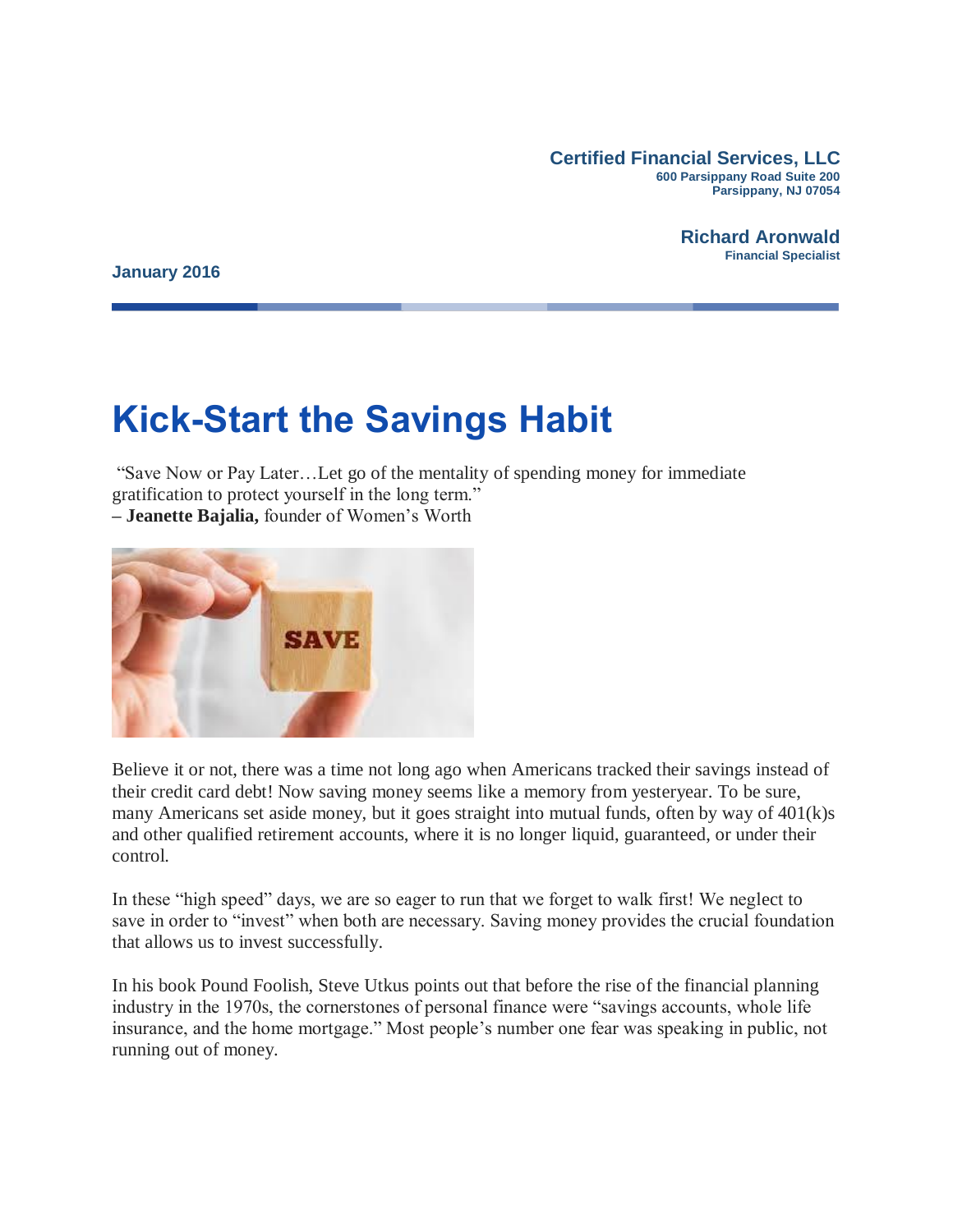**Certified Financial Services, LLC 600 Parsippany Road Suite 200 Parsippany, NJ 07054**

> **Richard Aronwald Financial Specialist**

**January 2016**

# **Kick-Start the Savings Habit**

"Save Now or Pay Later…Let go of the mentality of spending money for immediate gratification to protect yourself in the long term."

**– Jeanette Bajalia,** founder of Women's Worth



Believe it or not, there was a time not long ago when Americans tracked their savings instead of their credit card debt! Now saving money seems like a memory from yesteryear. To be sure, many Americans set aside money, but it goes straight into mutual funds, often by way of 401(k)s and other qualified retirement accounts, where it is no longer liquid, guaranteed, or under their control.

In these "high speed" days, we are so eager to run that we forget to walk first! We neglect to save in order to "invest" when both are necessary. Saving money provides the crucial foundation that allows us to invest successfully.

In his book Pound Foolish, Steve Utkus points out that before the rise of the financial planning industry in the 1970s, the cornerstones of personal finance were "savings accounts, whole life insurance, and the home mortgage." Most people's number one fear was speaking in public, not running out of money.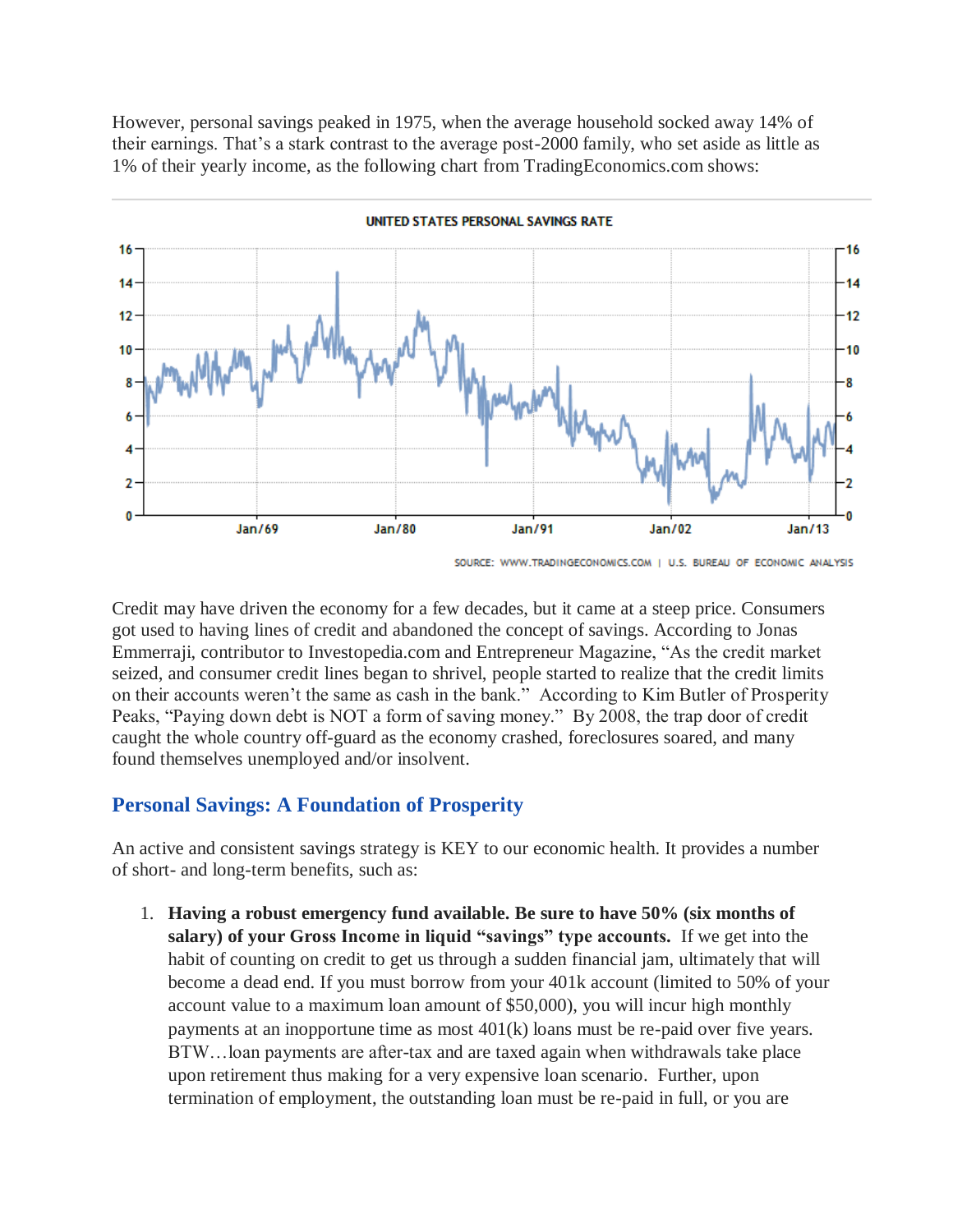However, personal savings peaked in 1975, when the average household socked away 14% of their earnings. That's a stark contrast to the average post-2000 family, who set aside as little as 1% of their yearly income, as the following chart from TradingEconomics.com shows:



UNITED STATES PERSONAL SAVINGS RATE

Credit may have driven the economy for a few decades, but it came at a steep price. Consumers got used to having lines of credit and abandoned the concept of savings. According to Jonas Emmerraji, contributor to Investopedia.com and Entrepreneur Magazine, "As the credit market seized, and consumer credit lines began to shrivel, people started to realize that the credit limits on their accounts weren't the same as cash in the bank." According to Kim Butler of Prosperity Peaks, "Paying down debt is NOT a form of saving money." By 2008, the trap door of credit caught the whole country off-guard as the economy crashed, foreclosures soared, and many found themselves unemployed and/or insolvent.

### **Personal Savings: A Foundation of Prosperity**

An active and consistent savings strategy is KEY to our economic health. It provides a number of short- and long-term benefits, such as:

1. **Having a robust emergency fund available. Be sure to have 50% (six months of salary) of your Gross Income in liquid "savings" type accounts.** If we get into the habit of counting on credit to get us through a sudden financial jam, ultimately that will become a dead end. If you must borrow from your 401k account (limited to 50% of your account value to a maximum loan amount of \$50,000), you will incur high monthly payments at an inopportune time as most 401(k) loans must be re-paid over five years. BTW…loan payments are after-tax and are taxed again when withdrawals take place upon retirement thus making for a very expensive loan scenario. Further, upon termination of employment, the outstanding loan must be re-paid in full, or you are

SOURCE: WWW.TRADINGECONOMICS.COM | U.S. BUREAU OF ECONOMIC ANALYSIS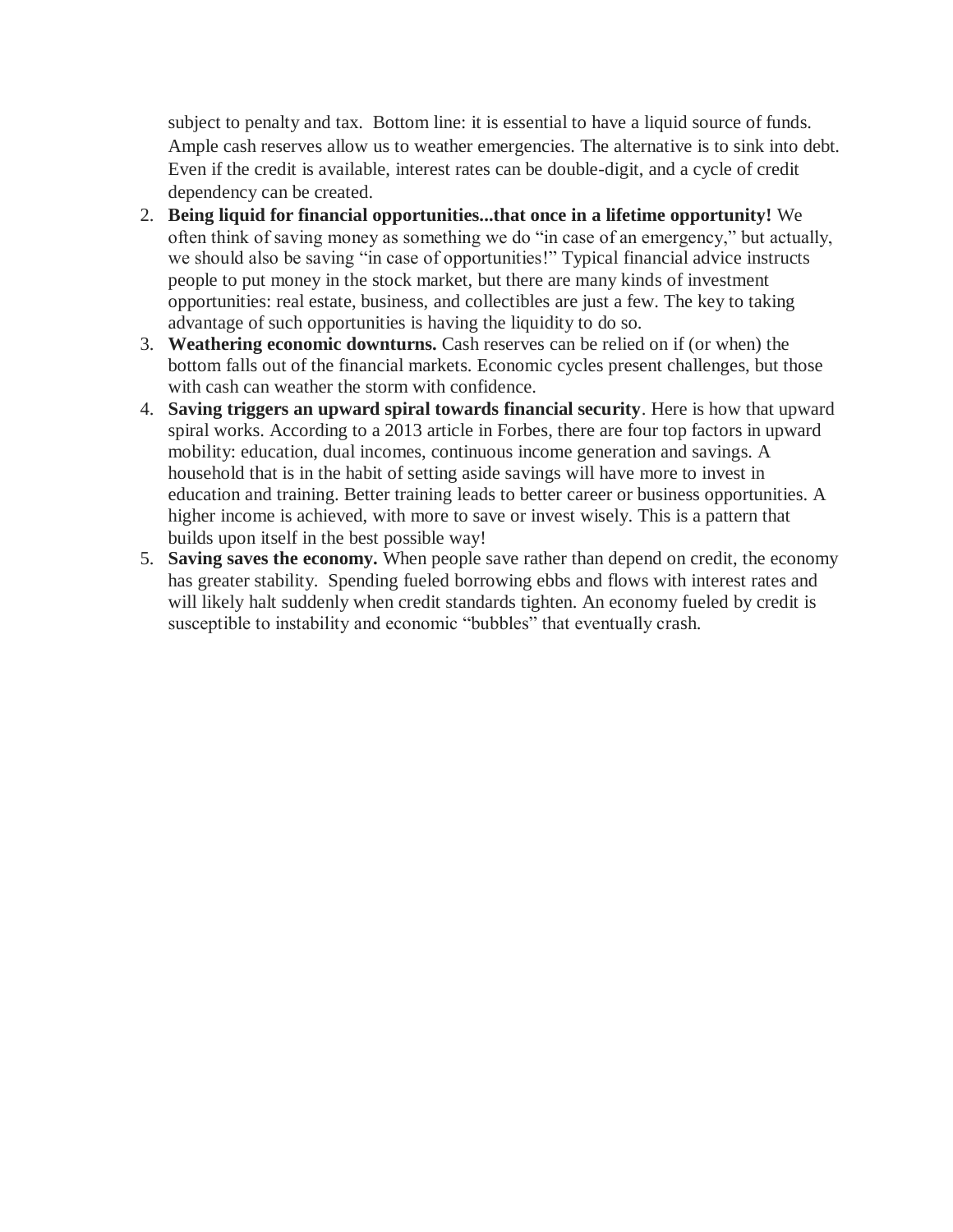subject to penalty and tax. Bottom line: it is essential to have a liquid source of funds. Ample cash reserves allow us to weather emergencies. The alternative is to sink into debt. Even if the credit is available, interest rates can be double-digit, and a cycle of credit dependency can be created.

- 2. **Being liquid for financial opportunities...that once in a lifetime opportunity!** We often think of saving money as something we do "in case of an emergency," but actually, we should also be saving "in case of opportunities!" Typical financial advice instructs people to put money in the stock market, but there are many kinds of investment opportunities: real estate, business, and collectibles are just a few. The key to taking advantage of such opportunities is having the liquidity to do so.
- 3. **Weathering economic downturns.** Cash reserves can be relied on if (or when) the bottom falls out of the financial markets. Economic cycles present challenges, but those with cash can weather the storm with confidence.
- 4. **Saving triggers an upward spiral towards financial security**. Here is how that upward spiral works. According to a 2013 article in Forbes, there are four top factors in upward mobility: education, dual incomes, continuous income generation and savings. A household that is in the habit of setting aside savings will have more to invest in education and training. Better training leads to better career or business opportunities. A higher income is achieved, with more to save or invest wisely. This is a pattern that builds upon itself in the best possible way!
- 5. **Saving saves the economy.** When people save rather than depend on credit, the economy has greater stability. Spending fueled borrowing ebbs and flows with interest rates and will likely halt suddenly when credit standards tighten. An economy fueled by credit is susceptible to instability and economic "bubbles" that eventually crash.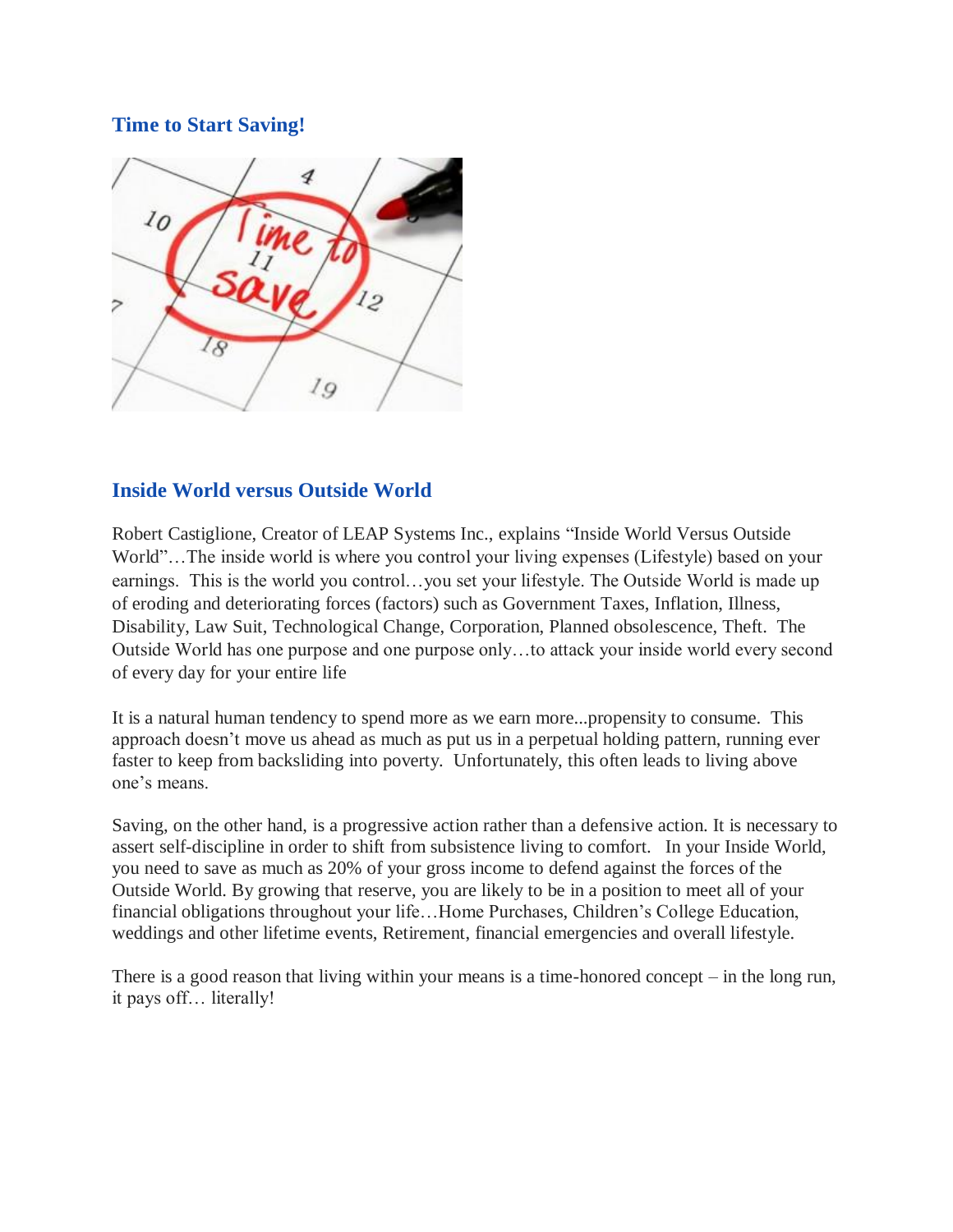## **Time to Start Saving!**



## **Inside World versus Outside World**

Robert Castiglione, Creator of LEAP Systems Inc., explains "Inside World Versus Outside World"…The inside world is where you control your living expenses (Lifestyle) based on your earnings. This is the world you control…you set your lifestyle. The Outside World is made up of eroding and deteriorating forces (factors) such as Government Taxes, Inflation, Illness, Disability, Law Suit, Technological Change, Corporation, Planned obsolescence, Theft. The Outside World has one purpose and one purpose only…to attack your inside world every second of every day for your entire life

It is a natural human tendency to spend more as we earn more...propensity to consume. This approach doesn't move us ahead as much as put us in a perpetual holding pattern, running ever faster to keep from backsliding into poverty. Unfortunately, this often leads to living above one's means.

Saving, on the other hand, is a progressive action rather than a defensive action. It is necessary to assert self-discipline in order to shift from subsistence living to comfort. In your Inside World, you need to save as much as 20% of your gross income to defend against the forces of the Outside World. By growing that reserve, you are likely to be in a position to meet all of your financial obligations throughout your life…Home Purchases, Children's College Education, weddings and other lifetime events, Retirement, financial emergencies and overall lifestyle.

There is a good reason that living within your means is a time-honored concept – in the long run, it pays off… literally!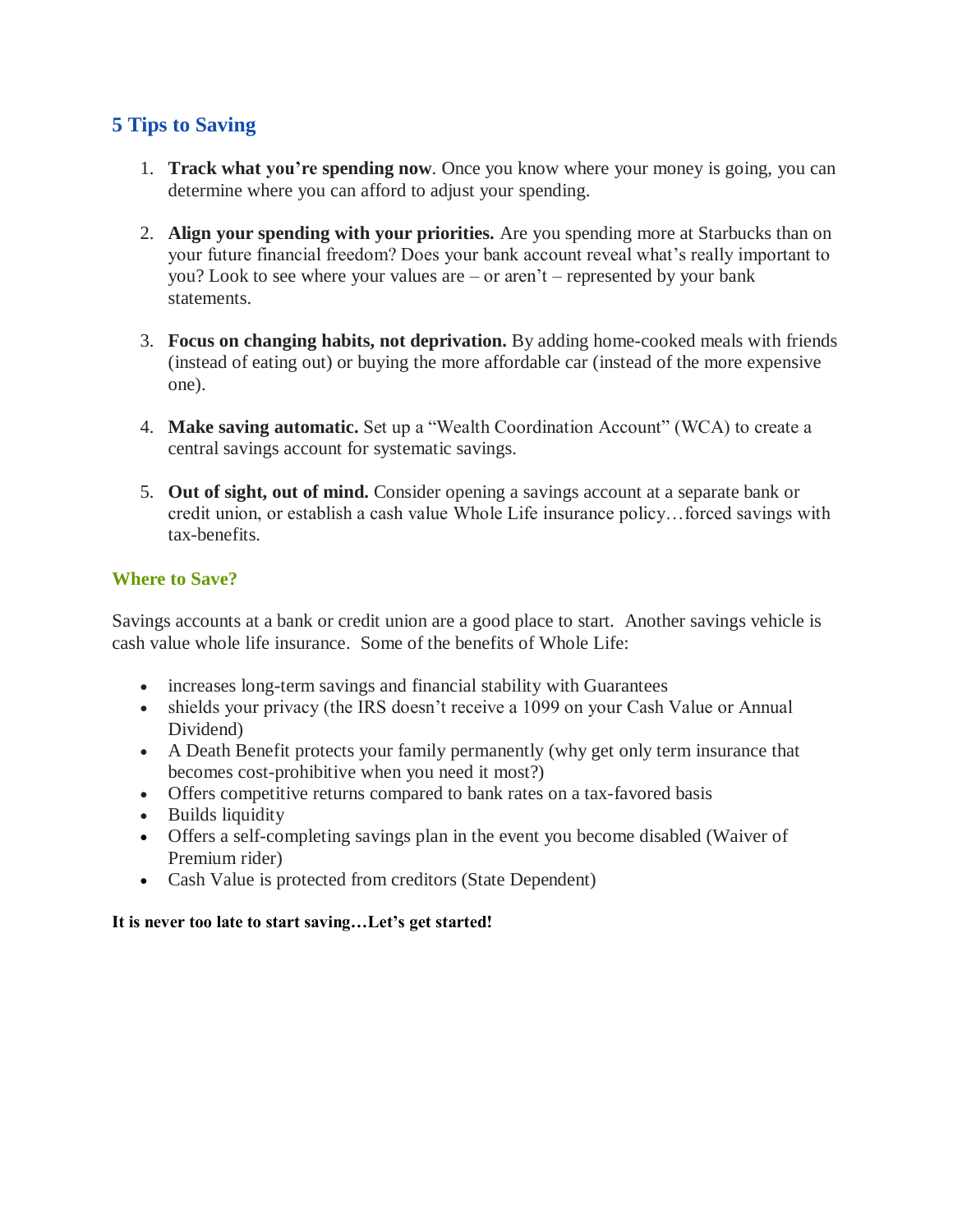## **5 Tips to Saving**

- 1. **Track what you're spending now**. Once you know where your money is going, you can determine where you can afford to adjust your spending.
- 2. **Align your spending with your priorities.** Are you spending more at Starbucks than on your future financial freedom? Does your bank account reveal what's really important to you? Look to see where your values are – or aren't – represented by your bank statements.
- 3. **Focus on changing habits, not deprivation.** By adding home-cooked meals with friends (instead of eating out) or buying the more affordable car (instead of the more expensive one).
- 4. **Make saving automatic.** Set up a "Wealth Coordination Account" (WCA) to create a central savings account for systematic savings.
- 5. **Out of sight, out of mind.** Consider opening a savings account at a separate bank or credit union, or establish a cash value Whole Life insurance policy…forced savings with tax-benefits.

### **Where to Save?**

Savings accounts at a bank or credit union are a good place to start. Another savings vehicle is cash value whole life insurance. Some of the benefits of Whole Life:

- increases long-term savings and financial stability with Guarantees
- shields your privacy (the IRS doesn't receive a 1099 on your Cash Value or Annual Dividend)
- A Death Benefit protects your family permanently (why get only term insurance that becomes cost-prohibitive when you need it most?)
- Offers competitive returns compared to bank rates on a tax-favored basis
- Builds liquidity
- Offers a self-completing savings plan in the event you become disabled (Waiver of Premium rider)
- Cash Value is protected from creditors (State Dependent)

**It is never too late to start saving…Let's get started!**